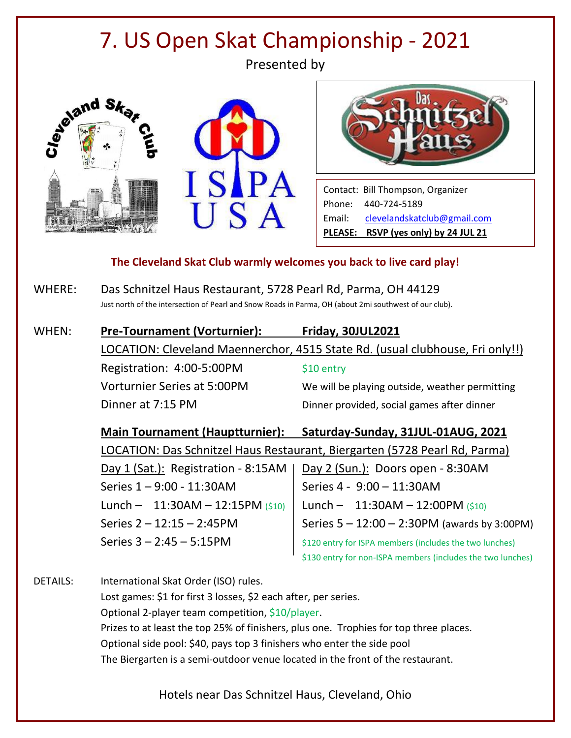# 7. US Open Skat Championship - 2021

Presented by







Contact: Bill Thompson, Organizer Phone: 440-724-5189 Email: [clevelandskatclub@gmail.com](mailto:clevelandskatclub@gmail.com) **PLEASE: RSVP (yes only) by 24 JUL 21**

#### **The Cleveland Skat Club warmly welcomes you back to live card play!**

WHERE: Das Schnitzel Haus Restaurant, 5728 Pearl Rd, Parma, OH 44129 Just north of the intersection of Pearl and Snow Roads in Parma, OH (about 2mi southwest of our club).

| <b>Friday, 30JUL2021</b>                                                      |
|-------------------------------------------------------------------------------|
| LOCATION: Cleveland Maennerchor, 4515 State Rd. (usual clubhouse, Fri only!!) |
| $$10$ entry                                                                   |
| We will be playing outside, weather permitting                                |
| Dinner provided, social games after dinner                                    |
|                                                                               |

**Main Tournament (Hauptturnier): Saturday-Sunday, 31JUL-01AUG, 2021**

LOCATION: Das Schnitzel Haus Restaurant, Biergarten (5728 Pearl Rd, Parma) Day 1 (Sat.): Registration - 8:15AM Series  $1 - 9:00 - 11:30$ AM Lunch –  $11:30AM - 12:15PM (510)$ Series  $2 - 12:15 - 2:45$ PM Series  $3 - 2:45 - 5:15$ PM

| Day 2 (Sun.): Doors open - 8:30AM                           |
|-------------------------------------------------------------|
| Series 4 - 9:00 - 11:30AM                                   |
| Lunch - $11:30AM - 12:00PM$ (\$10)                          |
| Series $5 - 12:00 - 2:30PM$ (awards by 3:00PM)              |
| \$120 entry for ISPA members (includes the two lunches)     |
| \$130 entry for non-ISPA members (includes the two lunches) |

DETAILS: International Skat Order (ISO) rules. Lost games: \$1 for first 3 losses, \$2 each after, per series. Optional 2-player team competition, \$10/player. Prizes to at least the top 25% of finishers, plus one. Trophies for top three places. Optional side pool: \$40, pays top 3 finishers who enter the side pool The Biergarten is a semi-outdoor venue located in the front of the restaurant.

Hotels near Das Schnitzel Haus, Cleveland, Ohio